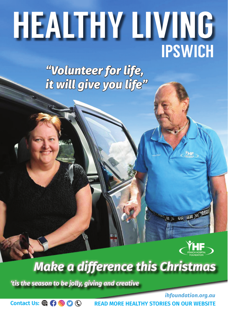# HEALTHY LIVING HEALTHY LIVING IPSWICH IPSWICH

*"Volunteer for life, it will give you life"*



日 明 国 医

## **Make a difference this Christmas**

'tis the season to be jolly, giving and creative

Contact Us:  $\mathbb{Q}$  (  $\mathbb{Q}$   $\mathbb{O}$   $\mathbb{Q}$ 

**is helping sick kids**

**is helping sick kids**

**in Ipswich like Evie**

**Name and all of the second conditions of the second conditions of the second conditions of the second conditions** 

**Name and also are also assigned to the extent of the extending of the extending of the extending of the extending of the extending of the extending of the extending of the extending of the extending of the extending of th** 

**in Ipswich like Evie**

*ihfoundation.org.au***READ MORE HEALTHY STORIES ON OUR WEBSITE**